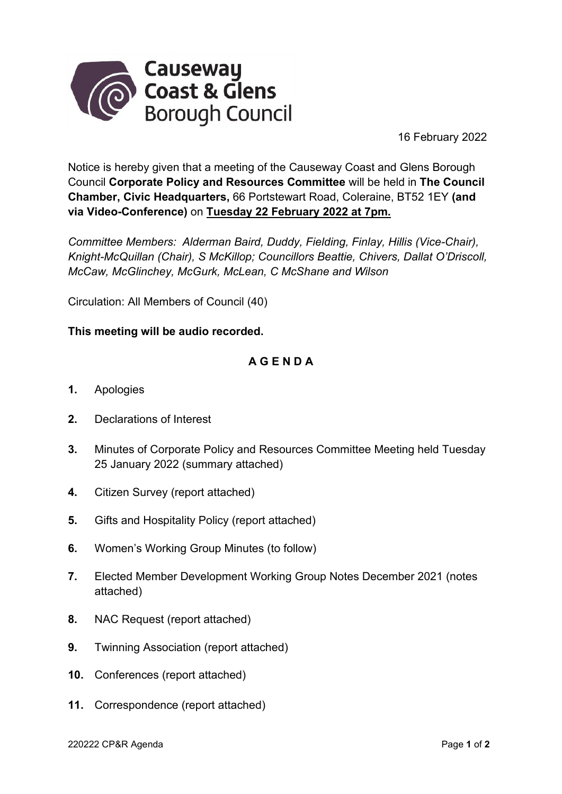

16 February 2022

Notice is hereby given that a meeting of the Causeway Coast and Glens Borough Council **Corporate Policy and Resources Committee** will be held in **The Council Chamber, Civic Headquarters,** 66 Portstewart Road, Coleraine, BT52 1EY **(and via Video-Conference)** on **Tuesday 22 February 2022 at 7pm.**

*Committee Members: Alderman Baird, Duddy, Fielding, Finlay, Hillis (Vice-Chair), Knight-McQuillan (Chair), S McKillop; Councillors Beattie, Chivers, Dallat O'Driscoll, McCaw, McGlinchey, McGurk, McLean, C McShane and Wilson* 

Circulation: All Members of Council (40)

## **This meeting will be audio recorded.**

## **A G E N D A**

- **1.** Apologies
- **2.** Declarations of Interest
- **3.** Minutes of Corporate Policy and Resources Committee Meeting held Tuesday 25 January 2022 (summary attached)
- **4.** Citizen Survey (report attached)
- **5.** Gifts and Hospitality Policy (report attached)
- **6.** Women's Working Group Minutes (to follow)
- **7.** Elected Member Development Working Group Notes December 2021 (notes attached)
- **8.** NAC Request (report attached)
- **9.** Twinning Association (report attached)
- **10.** Conferences (report attached)
- **11.** Correspondence (report attached)